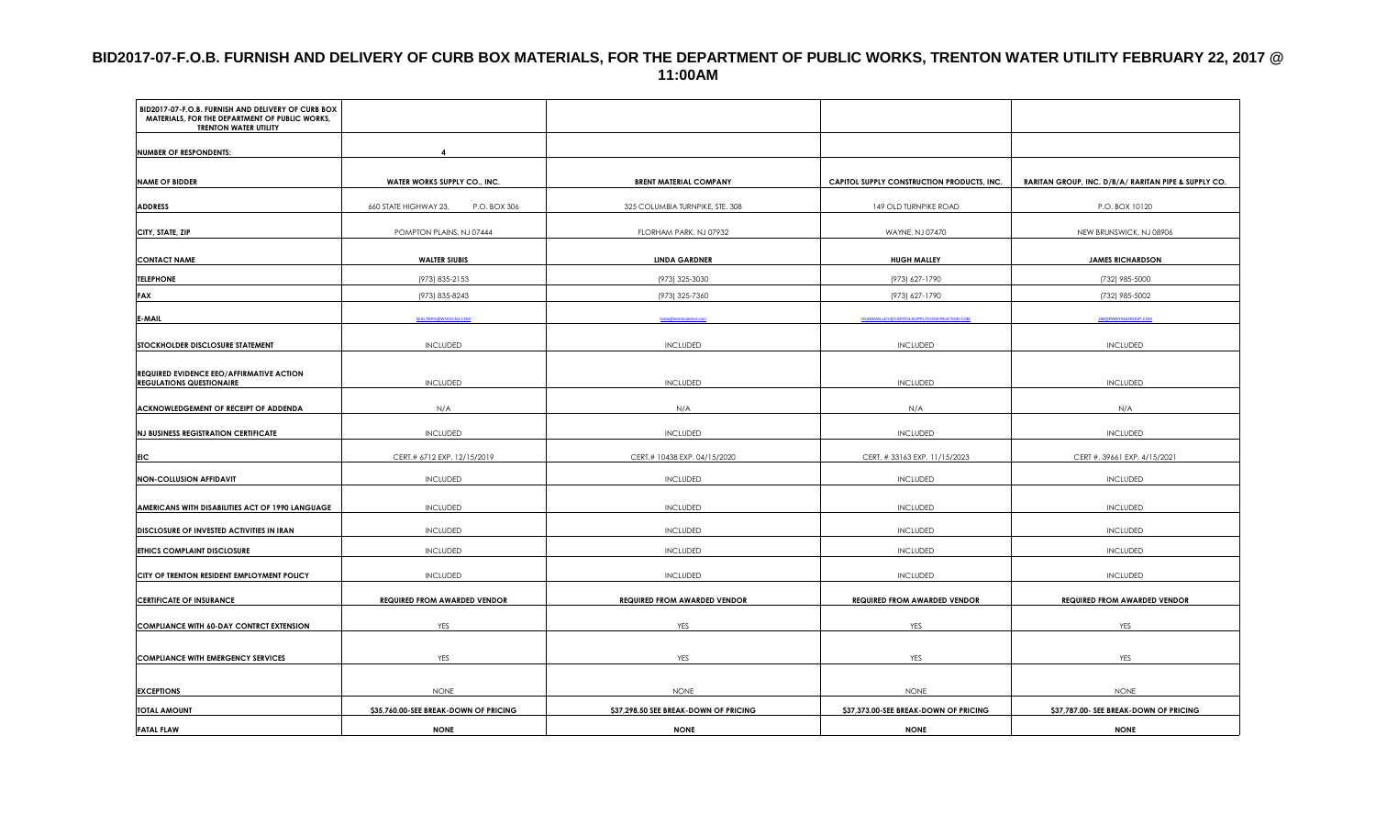#### **BID2017-07-F.O.B. FURNISH AND DELIVERY OF CURB BOX MATERIALS, FOR THE DEPARTMENT OF PUBLIC WORKS, TRENTON WATER UTILITY FEBRUARY 22, 2017 @ 11:00AM**

| BID2017-07-F.O.B. FURNISH AND DELIVERY OF CURB BOX<br>MATERIALS, FOR THE DEPARTMENT OF PUBLIC WORKS,<br><b>TRENTON WATER UTILITY</b> |                                       |                                       |                                                 |                                                      |
|--------------------------------------------------------------------------------------------------------------------------------------|---------------------------------------|---------------------------------------|-------------------------------------------------|------------------------------------------------------|
| <b>NUMBER OF RESPONDENTS:</b>                                                                                                        |                                       |                                       |                                                 |                                                      |
|                                                                                                                                      |                                       |                                       |                                                 |                                                      |
| <b>NAME OF BIDDER</b>                                                                                                                | WATER WORKS SUPPLY CO., INC.          | <b>BRENT MATERIAL COMPANY</b>         | CAPITOL SUPPLY CONSTRUCTION PRODUCTS, INC.      | RARITAN GROUP, INC. D/B/A/ RARITAN PIPE & SUPPLY CO. |
| <b>ADDRESS</b>                                                                                                                       | 660 STATE HIGHWAY 23,<br>P.O. BOX 306 | 325 COLUMBIA TURNPIKE, STE. 308       | 149 OLD TURNPIKE ROAD                           | P.O. BOX 10120                                       |
| CITY, STATE, ZIP                                                                                                                     | POMPTON PLAINS, NJ 07444              | FLORHAM PARK, NJ 07932                | WAYNE, NJ 07470                                 | NEW BRUNSWICK, NJ 08906                              |
| <b>CONTACT NAME</b>                                                                                                                  | <b>WALTER SIUBIS</b>                  | <b>LINDA GARDNER</b>                  | <b>HUGH MALLEY</b>                              | <b>JAMES RICHARDSON</b>                              |
| <b>TELEPHONE</b>                                                                                                                     | (973) 835-2153                        | (973) 325-3030                        | (973) 627-1790                                  | (732) 985-5000                                       |
| <b>FAX</b>                                                                                                                           | (973) 835-8243                        | (973) 325-7360                        | (973) 627-1790                                  | (732) 985-5002                                       |
| <b>E-MAIL</b>                                                                                                                        | <b>WALTERS@WWSCNJ.COM</b>             | Enda@brentmaterial.c                  | <b>HUGHMALLEY@CAPITOLSUPPLYCONSTRUCTION.COM</b> | <b>JIM@RARITANGROUP.COM</b>                          |
| STOCKHOLDER DISCLOSURE STATEMENT                                                                                                     | <b>INCLUDED</b>                       | <b>INCLUDED</b>                       | <b>INCLUDED</b>                                 | <b>INCLUDED</b>                                      |
| REQUIRED EVIDENCE EEO/AFFIRMATIVE ACTION<br><b>REGULATIONS QUESTIONAIRE</b>                                                          | INCLUDED                              | <b>INCLUDED</b>                       | <b>INCLUDED</b>                                 | <b>INCLUDED</b>                                      |
| ACKNOWLEDGEMENT OF RECEIPT OF ADDENDA                                                                                                | N/A                                   | N/A                                   | N/A                                             | N/A                                                  |
| <b>NJ BUSINESS REGISTRATION CERTIFICATE</b>                                                                                          | INCLUDED                              | <b>INCLUDED</b>                       | <b>INCLUDED</b>                                 | <b>INCLUDED</b>                                      |
| EIC                                                                                                                                  | CERT.# 6712 EXP. 12/15/2019           | CERT.# 10438 EXP. 04/15/2020          | CERT. #33163 EXP. 11/15/2023                    | CERT #. 39661 EXP. 4/15/2021                         |
| <b>NON-COLLUSION AFFIDAVIT</b>                                                                                                       | <b>INCLUDED</b>                       | <b>INCLUDED</b>                       | <b>INCLUDED</b>                                 | <b>INCLUDED</b>                                      |
| AMERICANS WITH DISABILITIES ACT OF 1990 LANGUAGE                                                                                     | <b>INCLUDED</b>                       | <b>INCLUDED</b>                       | <b>INCLUDED</b>                                 | <b>INCLUDED</b>                                      |
| DISCLOSURE OF INVESTED ACTIVITIES IN IRAN                                                                                            | <b>INCLUDED</b>                       | <b>INCLUDED</b>                       | <b>INCLUDED</b>                                 | <b>INCLUDED</b>                                      |
| <b>ETHICS COMPLAINT DISCLOSURE</b>                                                                                                   | <b>INCLUDED</b>                       | <b>INCLUDED</b>                       | <b>INCLUDED</b>                                 | <b>INCLUDED</b>                                      |
| CITY OF TRENTON RESIDENT EMPLOYMENT POLICY                                                                                           | <b>INCLUDED</b>                       | <b>INCLUDED</b>                       | <b>INCLUDED</b>                                 | <b>INCLUDED</b>                                      |
| <b>CERTIFICATE OF INSURANCE</b>                                                                                                      | <b>REQUIRED FROM AWARDED VENDOR</b>   | <b>REQUIRED FROM AWARDED VENDOR</b>   | <b>REQUIRED FROM AWARDED VENDOR</b>             | <b>REQUIRED FROM AWARDED VENDOR</b>                  |
| <b>COMPLIANCE WITH 60-DAY CONTRCT EXTENSION</b>                                                                                      | YES                                   | YES                                   | YES                                             | <b>YES</b>                                           |
| <b>COMPLIANCE WITH EMERGENCY SERVICES</b>                                                                                            | YES                                   | YES                                   | YES                                             | YES                                                  |
|                                                                                                                                      |                                       |                                       |                                                 |                                                      |
| <b>EXCEPTIONS</b>                                                                                                                    | <b>NONE</b>                           | <b>NONE</b>                           | <b>NONE</b>                                     | <b>NONE</b>                                          |
| <b>TOTAL AMOUNT</b>                                                                                                                  | \$35,760.00-SEE BREAK-DOWN OF PRICING | \$37,298.50 SEE BREAK-DOWN OF PRICING | \$37,373.00-SEE BREAK-DOWN OF PRICING           | \$37,787.00- SEE BREAK-DOWN OF PRICING               |
| <b>FATAL FLAW</b>                                                                                                                    | <b>NONE</b>                           | <b>NONE</b>                           | <b>NONE</b>                                     | <b>NONE</b>                                          |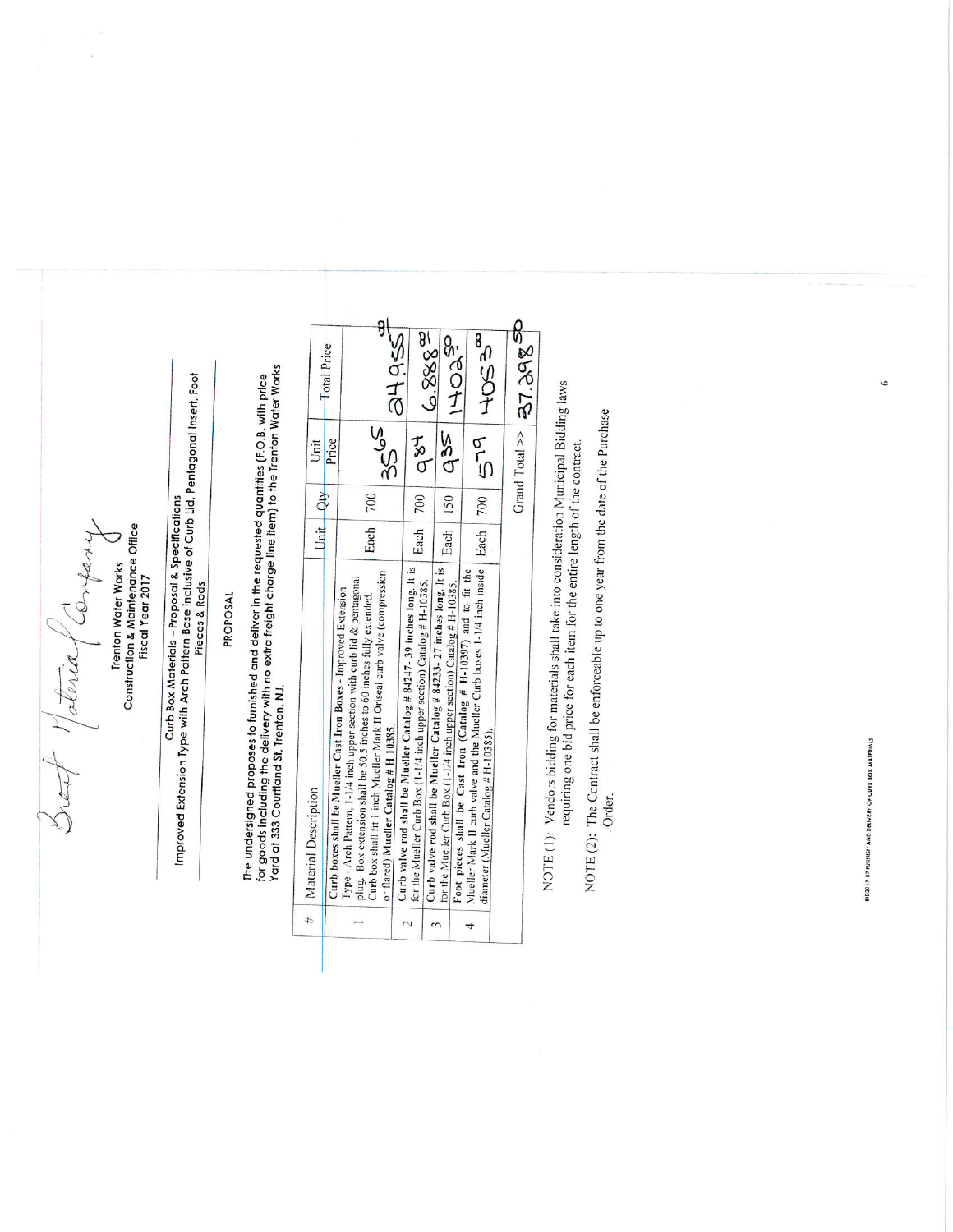Break Material Conferry

Trenton Water Works<br>Construction & Maintenance Office Fiscal Year 2017

# Curb Box Materials – Proposal & Specifications<br>Improved Extension Type with Arch Pattern Base inclusive of Curb Lid, Pentagonal Insert, Foot Pieces & Rods

## PROPOSAL

The undersigned proposes to furnished and deliver in the requested quantities (F.O.B. with price<br>for goods including the delivery with no extra freight charge line item) to the Trenton Water Works<br>Yard at 333 Courtland St,

NOTE (1): Vendors bidding for materials shall take into consideration Municipal Bidding laws requiring one bid price for each item for the entire length of the contract.

NOTE (2): The Contract shall be enforceable up to one year from the date of the Purchase Order.

**SID2017-07 FURNISH AND DELIVERY OF CURB BOX MATERIALS** 

 $\circ$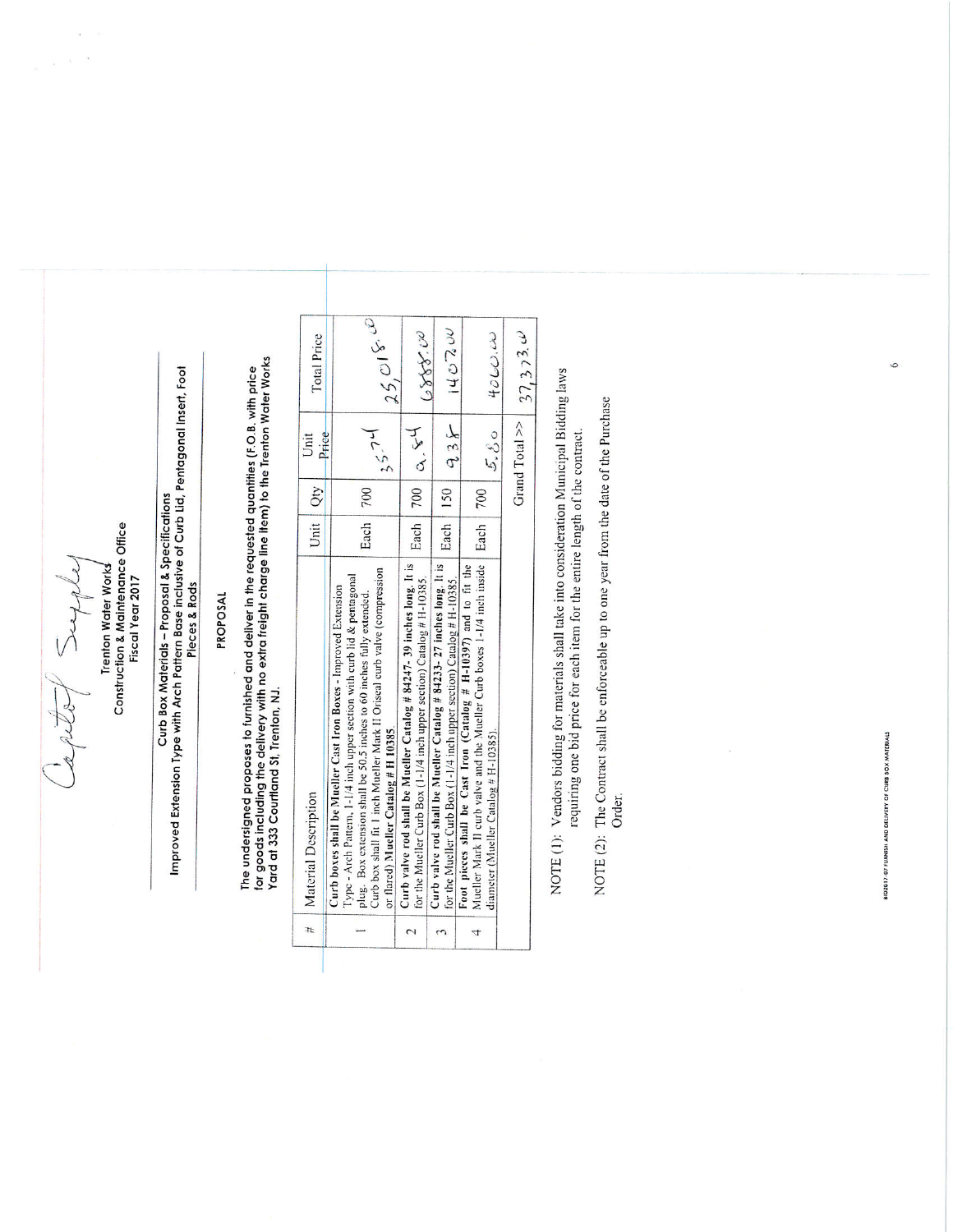what father

 $\bar{\alpha}$  $\omega \rightarrow -3$ 

# Construction & Maintenance Office<br>Fiscal Year 2017 **Trenton Water Works**

# Curb Box Materials – Proposal & Specifications<br>Improved Extension Type with Arch Pattern Base inclusive of Curb Lid, Pentagonal Insert, Foot<br>Pieces & Rods

### PROPOSAL

The undersigned proposes to furnished and deliver in the requested quantities (F.O.B. with price<br>for goods including the delivery with no extra freight charge line item) to the Trenton Water Works<br>Yard at 333 Courtland St,

| # | Material Description                                                                                                                                                                                                                                                                                                                        |            | Unit                     |                                  |
|---|---------------------------------------------------------------------------------------------------------------------------------------------------------------------------------------------------------------------------------------------------------------------------------------------------------------------------------------------|------------|--------------------------|----------------------------------|
|   |                                                                                                                                                                                                                                                                                                                                             | Unit   Qty | Price                    | Total Price                      |
|   | Curb box shall fit 1 inch Mueller Mark II Oriseal curb valve (compression<br>Type - Arch Pattern, 1-1/4 inch upper section with curb lid & pentagonal<br>Curb boxes shall be Mueller Cast Iron Boxes - Improved Extension<br>plug. Box extension shall be 50.5 inches to 60 inches fully extended.<br>or flared) Mueller Catalog # H 10385. | Each   700 | 15.74                    | $-35,018,0$                      |
|   | Curb valve rod shall be Mueller Catalog # 84247-39 inches long. It is<br>for the Mueller Curb Box (1-1/4 inch upper section) Catalog # H-10385.                                                                                                                                                                                             |            | Each 700 $\alpha$ , $54$ | 0888.00                          |
|   | Curb valve rod shall be Mueller Catalog # 84233-27 inches long. It is<br>for the Mueller Curb Box (1-1/4 inch upper section) Catalog # H-10385.                                                                                                                                                                                             |            | $-250$   $-150$   $-35$  | 140.7200                         |
|   | Mueller Mark II curb valve and the Mueller Curb boxes 1-1/4 inch inside   Each   700<br>Foot pieces shall be Cast Iron (Catalog # H-10397) and to fit the<br>diameter (Mueller Catalog # H-10385).                                                                                                                                          |            | 5,80                     | $40\omega$                       |
|   |                                                                                                                                                                                                                                                                                                                                             |            |                          | Grand Total >> $\Big  37, 373$ . |

NOTE (1): Vendors bidding for materials shall take into consideration Municipal Bidding laws requiring one bid price for each item for the entire length of the contract.

NOTE (2): The Contract shall be enforceable up to one year from the date of the Purchase Order.

 $\bar{\nu}$ 

81D2017-07 FURNISH AND DELIVERY OF CURB BOX MATERIALS

 $\circ$